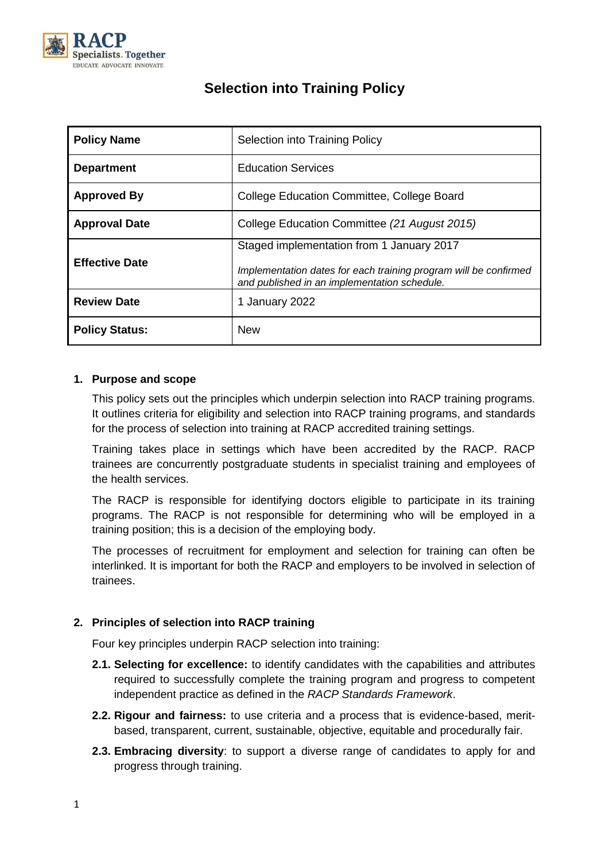

| <b>Policy Name</b>    | Selection into Training Policy                                                                                                                                |  |  |
|-----------------------|---------------------------------------------------------------------------------------------------------------------------------------------------------------|--|--|
| <b>Department</b>     | <b>Education Services</b>                                                                                                                                     |  |  |
| <b>Approved By</b>    | College Education Committee, College Board                                                                                                                    |  |  |
| <b>Approval Date</b>  | College Education Committee (21 August 2015)                                                                                                                  |  |  |
| <b>Effective Date</b> | Staged implementation from 1 January 2017<br>Implementation dates for each training program will be confirmed<br>and published in an implementation schedule. |  |  |
| <b>Review Date</b>    | January 2022<br>1                                                                                                                                             |  |  |
| <b>Policy Status:</b> | <b>New</b>                                                                                                                                                    |  |  |

# **Selection into Training Policy**

# **1. Purpose and scope**

This policy sets out the principles which underpin selection into RACP training programs. It outlines criteria for eligibility and selection into RACP training programs, and standards for the process of selection into training at RACP accredited training settings.

Training takes place in settings which have been accredited by the RACP. RACP trainees are concurrently postgraduate students in specialist training and employees of the health services.

The RACP is responsible for identifying doctors eligible to participate in its training programs. The RACP is not responsible for determining who will be employed in a training position; this is a decision of the employing body.

The processes of recruitment for employment and selection for training can often be interlinked. It is important for both the RACP and employers to be involved in selection of trainees.

# **2. Principles of selection into RACP training**

Four key principles underpin RACP selection into training:

- **2.1. Selecting for excellence:** to identify candidates with the capabilities and attributes required to successfully complete the training program and progress to competent independent practice as defined in the *RACP Standards Framework*.
- **2.2. Rigour and fairness:** to use criteria and a process that is evidence-based, meritbased, transparent, current, sustainable, objective, equitable and procedurally fair.
- **2.3. Embracing diversity**: to support a diverse range of candidates to apply for and progress through training.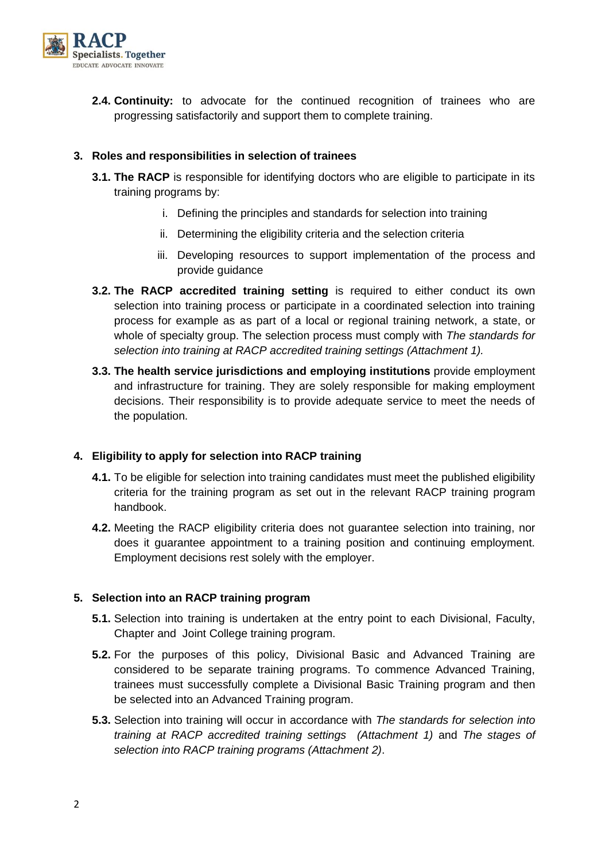

**2.4. Continuity:** to advocate for the continued recognition of trainees who are progressing satisfactorily and support them to complete training.

# **3. Roles and responsibilities in selection of trainees**

- **3.1. The RACP** is responsible for identifying doctors who are eligible to participate in its training programs by:
	- i. Defining the principles and standards for selection into training
	- ii. Determining the eligibility criteria and the selection criteria
	- iii. Developing resources to support implementation of the process and provide guidance
- **3.2. The RACP accredited training setting** is required to either conduct its own selection into training process or participate in a coordinated selection into training process for example as as part of a local or regional training network, a state, or whole of specialty group. The selection process must comply with *The standards for selection into training at RACP accredited training settings (Attachment 1).*
- **3.3. The health service jurisdictions and employing institutions** provide employment and infrastructure for training. They are solely responsible for making employment decisions. Their responsibility is to provide adequate service to meet the needs of the population.

# **4. Eligibility to apply for selection into RACP training**

- **4.1.** To be eligible for selection into training candidates must meet the published eligibility criteria for the training program as set out in the relevant RACP training program handbook.
- **4.2.** Meeting the RACP eligibility criteria does not guarantee selection into training, nor does it guarantee appointment to a training position and continuing employment. Employment decisions rest solely with the employer.

# **5. Selection into an RACP training program**

- **5.1.** Selection into training is undertaken at the entry point to each Divisional, Faculty, Chapter and Joint College training program.
- **5.2.** For the purposes of this policy, Divisional Basic and Advanced Training are considered to be separate training programs. To commence Advanced Training, trainees must successfully complete a Divisional Basic Training program and then be selected into an Advanced Training program.
- **5.3.** Selection into training will occur in accordance with *The standards for selection into training at RACP accredited training settings (Attachment 1)* and *The stages of selection into RACP training programs (Attachment 2)*.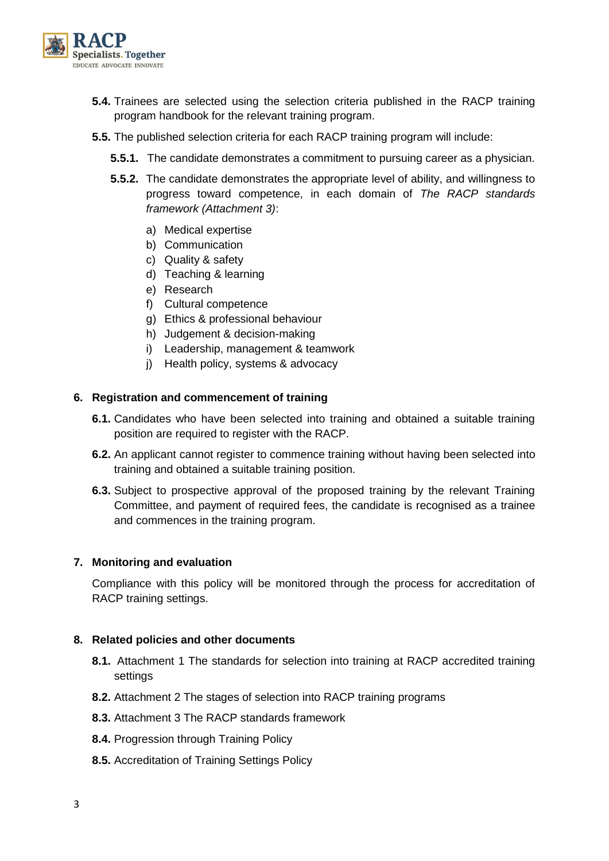

- **5.4.** Trainees are selected using the selection criteria published in the RACP training program handbook for the relevant training program.
- **5.5.** The published selection criteria for each RACP training program will include:
	- **5.5.1.** The candidate demonstrates a commitment to pursuing career as a physician.
	- **5.5.2.** The candidate demonstrates the appropriate level of ability, and willingness to progress toward competence, in each domain of *The RACP standards framework (Attachment 3)*:
		- a) Medical expertise
		- b) Communication
		- c) Quality & safety
		- d) Teaching & learning
		- e) Research
		- f) Cultural competence
		- g) Ethics & professional behaviour
		- h) Judgement & decision-making
		- i) Leadership, management & teamwork
		- j) Health policy, systems & advocacy

#### **6. Registration and commencement of training**

- **6.1.** Candidates who have been selected into training and obtained a suitable training position are required to register with the RACP.
- **6.2.** An applicant cannot register to commence training without having been selected into training and obtained a suitable training position.
- **6.3.** Subject to prospective approval of the proposed training by the relevant Training Committee, and payment of required fees, the candidate is recognised as a trainee and commences in the training program.

#### **7. Monitoring and evaluation**

Compliance with this policy will be monitored through the process for accreditation of RACP training settings.

#### **8. Related policies and other documents**

- **8.1.** Attachment 1 The standards for selection into training at RACP accredited training settings
- **8.2.** Attachment 2 The stages of selection into RACP training programs
- **8.3.** Attachment 3 The RACP standards framework
- **8.4.** Progression through Training Policy
- **8.5.** Accreditation of Training Settings Policy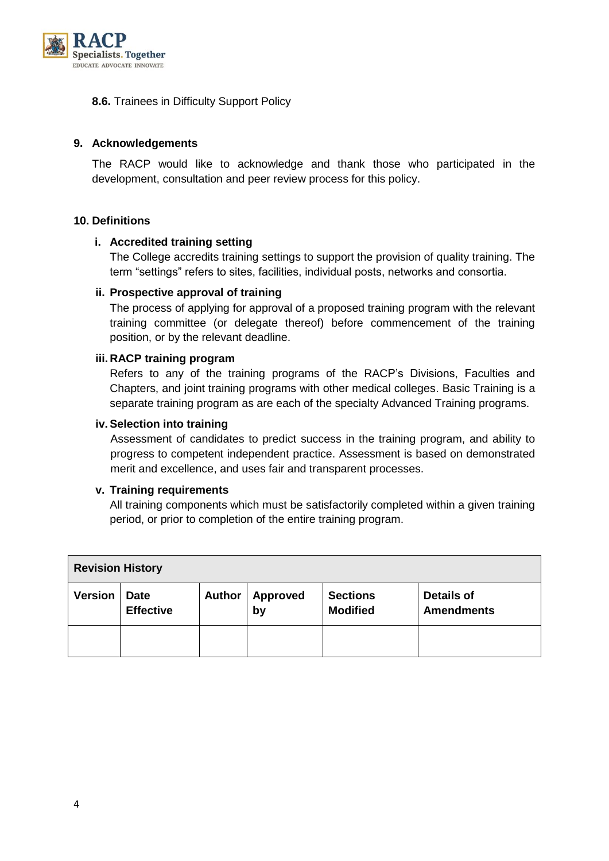

# **8.6.** Trainees in Difficulty Support Policy

## **9. Acknowledgements**

The RACP would like to acknowledge and thank those who participated in the development, consultation and peer review process for this policy.

#### **10. Definitions**

#### **i. Accredited training setting**

The College accredits training settings to support the provision of quality training. The term "settings" refers to sites, facilities, individual posts, networks and consortia.

#### **ii. Prospective approval of training**

The process of applying for approval of a proposed training program with the relevant training committee (or delegate thereof) before commencement of the training position, or by the relevant deadline.

#### **iii. RACP training program**

Refers to any of the training programs of the RACP's Divisions, Faculties and Chapters, and joint training programs with other medical colleges. Basic Training is a separate training program as are each of the specialty Advanced Training programs.

#### **iv. Selection into training**

Assessment of candidates to predict success in the training program, and ability to progress to competent independent practice. Assessment is based on demonstrated merit and excellence, and uses fair and transparent processes.

#### **v. Training requirements**

All training components which must be satisfactorily completed within a given training period, or prior to completion of the entire training program.

| <b>Revision History</b> |                                 |               |                       |                                    |                                        |  |
|-------------------------|---------------------------------|---------------|-----------------------|------------------------------------|----------------------------------------|--|
| <b>Version</b>          | <b>Date</b><br><b>Effective</b> | <b>Author</b> | <b>Approved</b><br>by | <b>Sections</b><br><b>Modified</b> | <b>Details of</b><br><b>Amendments</b> |  |
|                         |                                 |               |                       |                                    |                                        |  |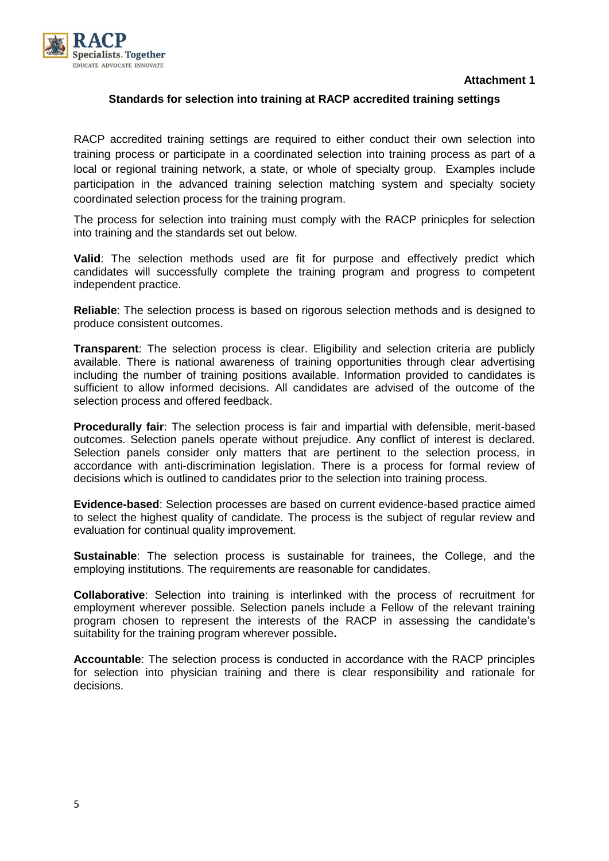**Attachment 1**



#### **Standards for selection into training at RACP accredited training settings**

RACP accredited training settings are required to either conduct their own selection into training process or participate in a coordinated selection into training process as part of a local or regional training network, a state, or whole of specialty group. Examples include participation in the advanced training selection matching system and specialty society coordinated selection process for the training program.

The process for selection into training must comply with the RACP prinicples for selection into training and the standards set out below.

**Valid**: The selection methods used are fit for purpose and effectively predict which candidates will successfully complete the training program and progress to competent independent practice.

**Reliable**: The selection process is based on rigorous selection methods and is designed to produce consistent outcomes.

**Transparent:** The selection process is clear. Eligibility and selection criteria are publicly available. There is national awareness of training opportunities through clear advertising including the number of training positions available. Information provided to candidates is sufficient to allow informed decisions. All candidates are advised of the outcome of the selection process and offered feedback.

**Procedurally fair**: The selection process is fair and impartial with defensible, merit-based outcomes. Selection panels operate without prejudice. Any conflict of interest is declared. Selection panels consider only matters that are pertinent to the selection process, in accordance with anti-discrimination legislation. There is a process for formal review of decisions which is outlined to candidates prior to the selection into training process.

**Evidence-based**: Selection processes are based on current evidence-based practice aimed to select the highest quality of candidate. The process is the subject of regular review and evaluation for continual quality improvement.

**Sustainable:** The selection process is sustainable for trainees, the College, and the employing institutions. The requirements are reasonable for candidates.

**Collaborative**: Selection into training is interlinked with the process of recruitment for employment wherever possible. Selection panels include a Fellow of the relevant training program chosen to represent the interests of the RACP in assessing the candidate's suitability for the training program wherever possible**.**

**Accountable**: The selection process is conducted in accordance with the RACP principles for selection into physician training and there is clear responsibility and rationale for decisions.